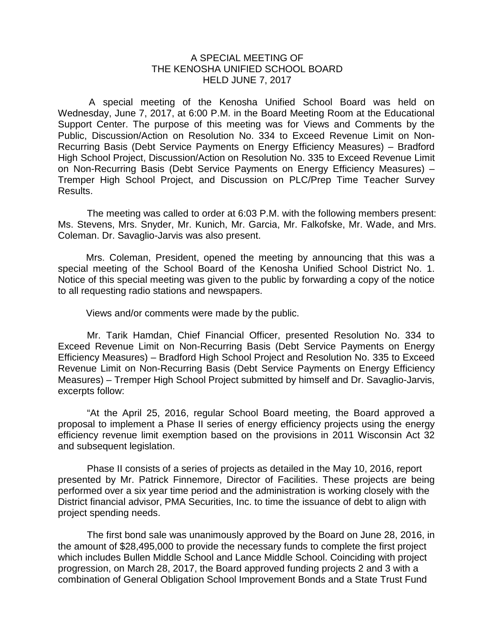## A SPECIAL MEETING OF THE KENOSHA UNIFIED SCHOOL BOARD HELD JUNE 7, 2017

A special meeting of the Kenosha Unified School Board was held on Wednesday, June 7, 2017, at 6:00 P.M. in the Board Meeting Room at the Educational Support Center. The purpose of this meeting was for Views and Comments by the Public, Discussion/Action on Resolution No. 334 to Exceed Revenue Limit on Non-Recurring Basis (Debt Service Payments on Energy Efficiency Measures) – Bradford High School Project, Discussion/Action on Resolution No. 335 to Exceed Revenue Limit on Non-Recurring Basis (Debt Service Payments on Energy Efficiency Measures) – Tremper High School Project, and Discussion on PLC/Prep Time Teacher Survey Results.

The meeting was called to order at 6:03 P.M. with the following members present: Ms. Stevens, Mrs. Snyder, Mr. Kunich, Mr. Garcia, Mr. Falkofske, Mr. Wade, and Mrs. Coleman. Dr. Savaglio-Jarvis was also present.

Mrs. Coleman, President, opened the meeting by announcing that this was a special meeting of the School Board of the Kenosha Unified School District No. 1. Notice of this special meeting was given to the public by forwarding a copy of the notice to all requesting radio stations and newspapers.

Views and/or comments were made by the public.

Mr. Tarik Hamdan, Chief Financial Officer, presented Resolution No. 334 to Exceed Revenue Limit on Non-Recurring Basis (Debt Service Payments on Energy Efficiency Measures) – Bradford High School Project and Resolution No. 335 to Exceed Revenue Limit on Non-Recurring Basis (Debt Service Payments on Energy Efficiency Measures) – Tremper High School Project submitted by himself and Dr. Savaglio-Jarvis, excerpts follow:

"At the April 25, 2016, regular School Board meeting, the Board approved a proposal to implement a Phase II series of energy efficiency projects using the energy efficiency revenue limit exemption based on the provisions in 2011 Wisconsin Act 32 and subsequent legislation.

Phase II consists of a series of projects as detailed in the May 10, 2016, report presented by Mr. Patrick Finnemore, Director of Facilities. These projects are being performed over a six year time period and the administration is working closely with the District financial advisor, PMA Securities, Inc. to time the issuance of debt to align with project spending needs.

The first bond sale was unanimously approved by the Board on June 28, 2016, in the amount of \$28,495,000 to provide the necessary funds to complete the first project which includes Bullen Middle School and Lance Middle School. Coinciding with project progression, on March 28, 2017, the Board approved funding projects 2 and 3 with a combination of General Obligation School Improvement Bonds and a State Trust Fund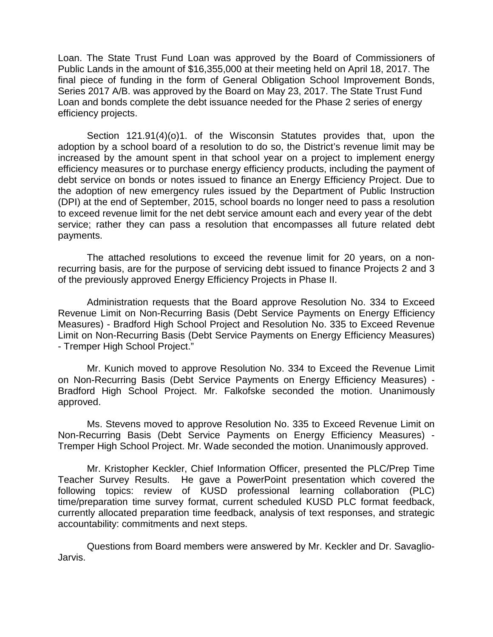Loan. The State Trust Fund Loan was approved by the Board of Commissioners of Public Lands in the amount of \$16,355,000 at their meeting held on April 18, 2017. The final piece of funding in the form of General Obligation School Improvement Bonds, Series 2017 A/B. was approved by the Board on May 23, 2017. The State Trust Fund Loan and bonds complete the debt issuance needed for the Phase 2 series of energy efficiency projects.

Section 121.91(4)(o)1. of the Wisconsin Statutes provides that, upon the adoption by a school board of a resolution to do so, the District's revenue limit may be increased by the amount spent in that school year on a project to implement energy efficiency measures or to purchase energy efficiency products, including the payment of debt service on bonds or notes issued to finance an Energy Efficiency Project. Due to the adoption of new emergency rules issued by the Department of Public Instruction (DPI) at the end of September, 2015, school boards no longer need to pass a resolution to exceed revenue limit for the net debt service amount each and every year of the debt service; rather they can pass a resolution that encompasses all future related debt payments.

The attached resolutions to exceed the revenue limit for 20 years, on a nonrecurring basis, are for the purpose of servicing debt issued to finance Projects 2 and 3 of the previously approved Energy Efficiency Projects in Phase II.

Administration requests that the Board approve Resolution No. 334 to Exceed Revenue Limit on Non-Recurring Basis (Debt Service Payments on Energy Efficiency Measures) - Bradford High School Project and Resolution No. 335 to Exceed Revenue Limit on Non-Recurring Basis (Debt Service Payments on Energy Efficiency Measures) - Tremper High School Project."

Mr. Kunich moved to approve Resolution No. 334 to Exceed the Revenue Limit on Non-Recurring Basis (Debt Service Payments on Energy Efficiency Measures) - Bradford High School Project. Mr. Falkofske seconded the motion. Unanimously approved.

Ms. Stevens moved to approve Resolution No. 335 to Exceed Revenue Limit on Non-Recurring Basis (Debt Service Payments on Energy Efficiency Measures) - Tremper High School Project. Mr. Wade seconded the motion. Unanimously approved.

Mr. Kristopher Keckler, Chief Information Officer, presented the PLC/Prep Time Teacher Survey Results. He gave a PowerPoint presentation which covered the following topics: review of KUSD professional learning collaboration (PLC) time/preparation time survey format, current scheduled KUSD PLC format feedback, currently allocated preparation time feedback, analysis of text responses, and strategic accountability: commitments and next steps.

Questions from Board members were answered by Mr. Keckler and Dr. Savaglio-Jarvis.